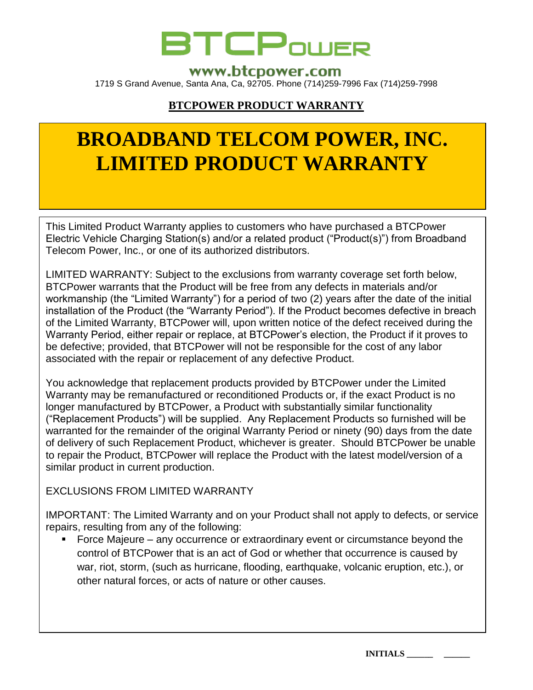

## www.btcpower.com

1719 S Grand Avenue, Santa Ana, Ca, 92705. Phone (714)259-7996 Fax (714)259-7998

## **BTCPOWER PRODUCT WARRANTY**

# **BROADBAND TELCOM POWER, INC. LIMITED PRODUCT WARRANTY**

This Limited Product Warranty applies to customers who have purchased a BTCPower Electric Vehicle Charging Station(s) and/or a related product ("Product(s)") from Broadband Telecom Power, Inc., or one of its authorized distributors.

LIMITED WARRANTY: Subject to the exclusions from warranty coverage set forth below, BTCPower warrants that the Product will be free from any defects in materials and/or workmanship (the "Limited Warranty") for a period of two (2) years after the date of the initial installation of the Product (the "Warranty Period"). If the Product becomes defective in breach of the Limited Warranty, BTCPower will, upon written notice of the defect received during the Warranty Period, either repair or replace, at BTCPower's election, the Product if it proves to be defective; provided, that BTCPower will not be responsible for the cost of any labor associated with the repair or replacement of any defective Product.

You acknowledge that replacement products provided by BTCPower under the Limited Warranty may be remanufactured or reconditioned Products or, if the exact Product is no longer manufactured by BTCPower, a Product with substantially similar functionality ("Replacement Products") will be supplied. Any Replacement Products so furnished will be warranted for the remainder of the original Warranty Period or ninety (90) days from the date of delivery of such Replacement Product, whichever is greater. Should BTCPower be unable to repair the Product, BTCPower will replace the Product with the latest model/version of a similar product in current production.

EXCLUSIONS FROM LIMITED WARRANTY

IMPORTANT: The Limited Warranty and on your Product shall not apply to defects, or service repairs, resulting from any of the following:

 Force Majeure – any occurrence or extraordinary event or circumstance beyond the control of BTCPower that is an act of God or whether that occurrence is caused by war, riot, storm, (such as hurricane, flooding, earthquake, volcanic eruption, etc.), or other natural forces, or acts of nature or other causes.

**INITIALS \_\_\_\_\_\_ \_\_\_\_\_\_**